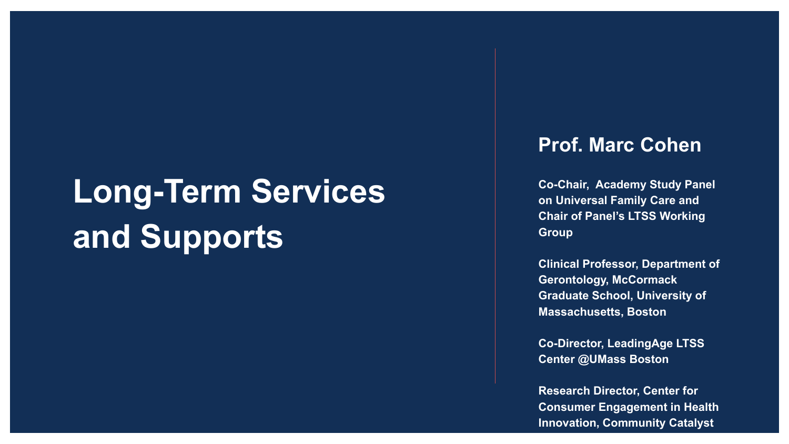# **Long-Term Services and Supports**

#### **Prof. Marc Cohen**

**Co-Chair, Academy Study Panel on Universal Family Care and Chair of Panel's LTSS Working Group**

**Clinical Professor, Department of Gerontology, McCormack Graduate School, University of Massachusetts, Boston** 

**Co-Director, LeadingAge LTSS Center @UMass Boston**

**Research Director, Center for Consumer Engagement in Health Innovation, Community Catalyst**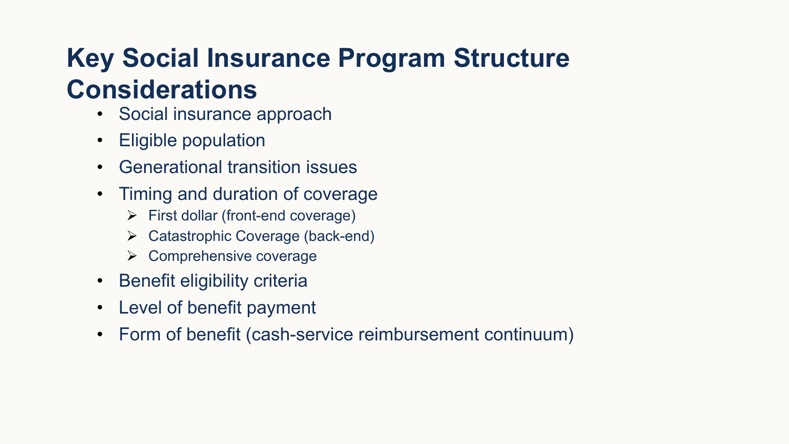## **Key Social Insurance Program Structure Considerations**

- Social insurance approach
- Eligible population
- Generational transition issues
- Timing and duration of coverage
	- $\triangleright$  First dollar (front-end coverage)
	- $\triangleright$  Catastrophic Coverage (back-end)
	- $\triangleright$  Comprehensive coverage
- Benefit eligibility criteria
- Level of benefit payment
- Form of benefit (cash-service reimbursement continuum)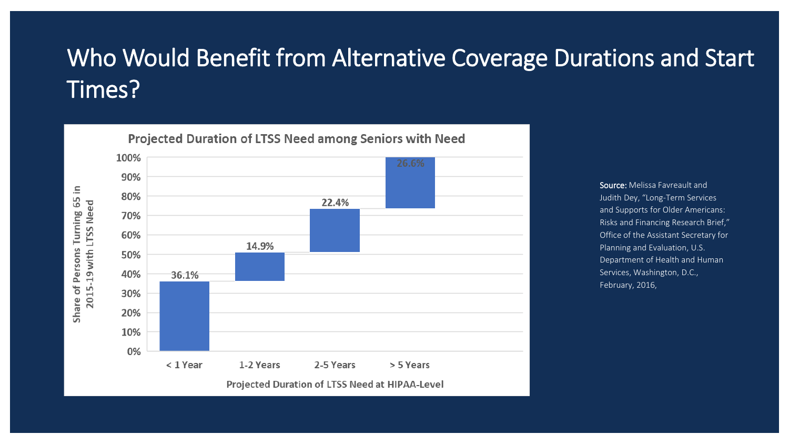### Who Would Benefit from Alternative Coverage Durations and Start Times?

65 in 2015-19 with LTSS Need Turning Persons ð Share



Projected Duration of LTSS Need among Seniors with Need

Source: Melissa Favreault and Judith Dey, "Long-Term Services and Supports for Older Americans: Risks and Financing Research Brief," Office of the Assistant Secretary for Planning and Evaluation, U.S. Department of Health and Human Services, Washington, D.C., February, 2016,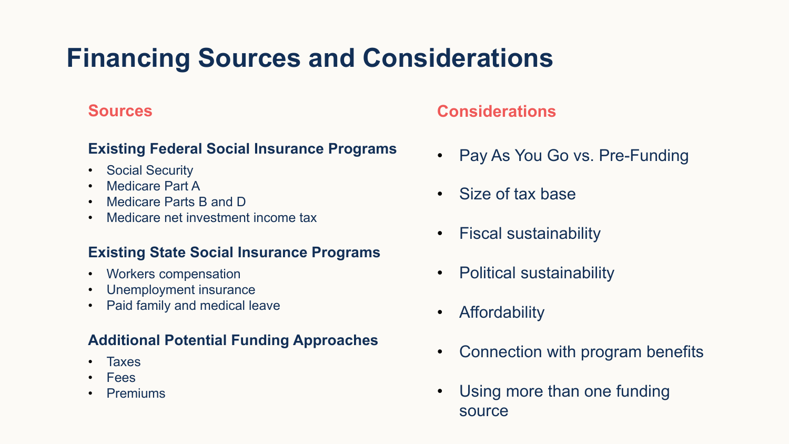## **Financing Sources and Considerations**

#### **Sources**

#### **Existing Federal Social Insurance Programs**

- Social Security
- Medicare Part A
- Medicare Parts B and D
- Medicare net investment income tax

#### **Existing State Social Insurance Programs**

- Workers compensation
- Unemployment insurance
- Paid family and medical leave

#### **Additional Potential Funding Approaches**

- Taxes
- Fees
- **Premiums**

#### **Considerations**

- Pay As You Go vs. Pre-Funding
- Size of tax base
- Fiscal sustainability
- Political sustainability
- Affordability
- Connection with program benefits
- Using more than one funding source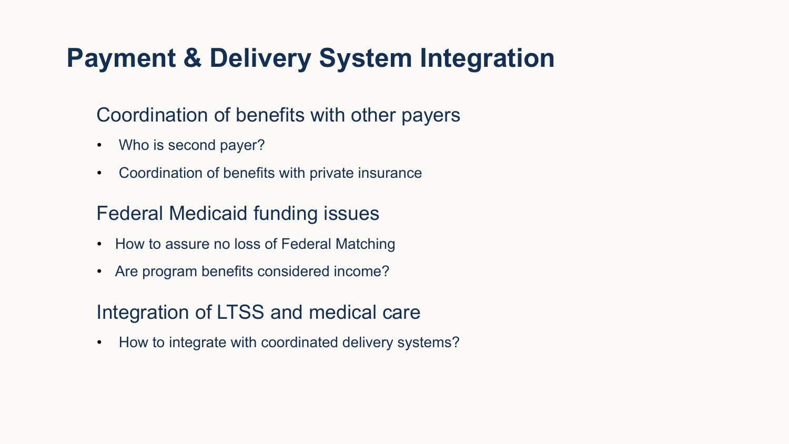## **Payment & Delivery System Integration**

### Coordination of benefits with other payers

- Who is second payer?
- Coordination of benefits with private insurance

### Federal Medicaid funding issues

- How to assure no loss of Federal Matching
- Are program benefits considered income?

### Integration of LTSS and medical care

• How to integrate with coordinated delivery systems?